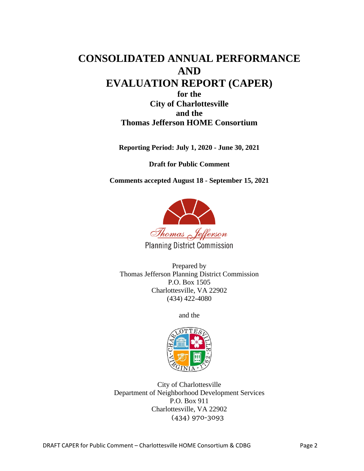# **CONSOLIDATED ANNUAL PERFORMANCE AND EVALUATION REPORT (CAPER) for the City of Charlottesville and the**

# **Thomas Jefferson HOME Consortium**

**Reporting Period: July 1, 2020 - June 30, 2021**

**Draft for Public Comment**

**Comments accepted August 18 - September 15, 2021**



**Planning District Commission** 

Prepared by Thomas Jefferson Planning District Commission P.O. Box 1505 Charlottesville, VA 22902 (434) 422-4080

and the



City of Charlottesville Department of Neighborhood Development Services P.O. Box 911 Charlottesville, VA 22902 (434) 970-3093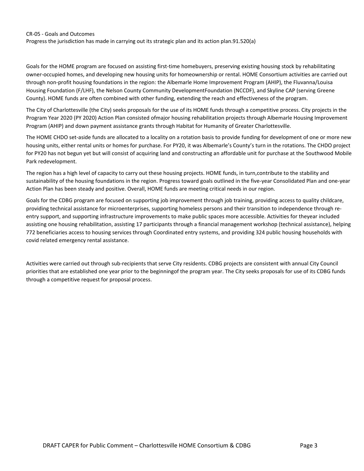#### CR-05 - Goals and Outcomes

Progress the jurisdiction has made in carrying out its strategic plan and its action plan.91.520(a)

Goals for the HOME program are focused on assisting first-time homebuyers, preserving existing housing stock by rehabilitating owner-occupied homes, and developing new housing units for homeownership or rental. HOME Consortium activities are carried out through non-profit housing foundations in the region: the Albemarle Home Improvement Program (AHIP), the Fluvanna/Louisa Housing Foundation (F/LHF), the Nelson County Community DevelopmentFoundation (NCCDF), and Skyline CAP (serving Greene County). HOME funds are often combined with other funding, extending the reach and effectiveness of the program.

The City of Charlottesville (the City) seeks proposals for the use of its HOME funds through a competitive process. City projects in the Program Year 2020 (PY 2020) Action Plan consisted ofmajor housing rehabilitation projects through Albemarle Housing Improvement Program (AHIP) and down payment assistance grants through Habitat for Humanity of Greater Charlottesville.

The HOME CHDO set-aside funds are allocated to a locality on a rotation basis to provide funding for development of one or more new housing units, either rental units or homes for purchase. For PY20, it was Albemarle's County's turn in the rotations. The CHDO project for PY20 has not begun yet but will consist of acquiring land and constructing an affordable unit for purchase at the Southwood Mobile Park redevelopment.

The region has a high level of capacity to carry out these housing projects. HOME funds, in turn,contribute to the stability and sustainability of the housing foundations in the region. Progress toward goals outlined in the five-year Consolidated Plan and one-year Action Plan has been steady and positive. Overall, HOME funds are meeting critical needs in our region.

Goals for the CDBG program are focused on supporting job improvement through job training, providing access to quality childcare, providing technical assistance for microenterprises, supporting homeless persons and their transition to independence through reentry support, and supporting infrastructure improvements to make public spaces more accessible. Activities for theyear included assisting one housing rehabilitation, assisting 17 participants through a financial management workshop (technical assistance), helping 772 beneficiaries access to housing services through Coordinated entry systems, and providing 324 public housing households with covid related emergency rental assistance.

Activities were carried out through sub-recipients that serve City residents. CDBG projects are consistent with annual City Council priorities that are established one year prior to the beginningof the program year. The City seeks proposals for use of its CDBG funds through a competitive request for proposal process.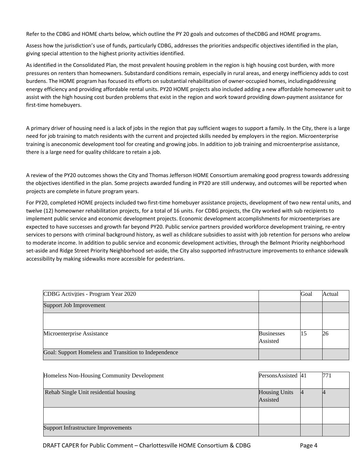Refer to the CDBG and HOME charts below, which outline the PY 20 goals and outcomes of theCDBG and HOME programs.

Assess how the jurisdiction's use of funds, particularly CDBG, addresses the priorities andspecific objectives identified in the plan, giving special attention to the highest priority activities identified.

As identified in the Consolidated Plan, the most prevalent housing problem in the region is high housing cost burden, with more pressures on renters than homeowners. Substandard conditions remain, especially in rural areas, and energy inefficiency adds to cost burdens. The HOME program has focused its efforts on substantial rehabilitation of owner-occupied homes, includingaddressing energy efficiency and providing affordable rental units. PY20 HOME projects also included adding a new affordable homeowner unit to assist with the high housing cost burden problems that exist in the region and work toward providing down-payment assistance for first-time homebuyers.

A primary driver of housing need is a lack of jobs in the region that pay sufficient wages to support a family. In the City, there is a large need for job training to match residents with the current and projected skills needed by employers in the region. Microenterprise training is aneconomic development tool for creating and growing jobs. In addition to job training and microenterprise assistance, there is a large need for quality childcare to retain a job.

A review of the PY20 outcomes shows the City and Thomas Jefferson HOME Consortium aremaking good progress towards addressing the objectives identified in the plan. Some projects awarded funding in PY20 are still underway, and outcomes will be reported when projects are complete in future program years.

For PY20, completed HOME projects included two first-time homebuyer assistance projects, development of two new rental units, and twelve (12) homeowner rehabilitation projects, for a total of 16 units. For CDBG projects, the City worked with sub recipients to implement public service and economic development projects. Economic development accomplishments for microenterprises are expected to have successes and growth far beyond PY20. Public service partners provided workforce development training, re-entry services to persons with criminal background history, as well as childcare subsidies to assist with job retention for persons who arelow to moderate income. In addition to public service and economic development activities, through the Belmont Priority neighborhood set-aside and Ridge Street Priority Neighborhood set-aside, the City also supported infrastructure improvements to enhance sidewalk accessibility by making sidewalks more accessible for pedestrians.

| CDBG Activities - Program Year 2020                   |                               | Goal | Actual |
|-------------------------------------------------------|-------------------------------|------|--------|
| Support Job Improvement                               |                               |      |        |
|                                                       |                               |      |        |
| Microenterprise Assistance                            | <b>Businesses</b><br>Assisted | 15   | 26     |
| Goal: Support Homeless and Transition to Independence |                               |      |        |

| Homeless Non-Housing Community Development | PersonsAssisted 41   | 771 |
|--------------------------------------------|----------------------|-----|
|                                            |                      |     |
|                                            |                      |     |
|                                            |                      |     |
| Rehab Single Unit residential housing      | <b>Housing Units</b> |     |
|                                            |                      |     |
|                                            | Assisted             |     |
|                                            |                      |     |
|                                            |                      |     |
|                                            |                      |     |
|                                            |                      |     |
|                                            |                      |     |
| <b>Support Infrastructure Improvements</b> |                      |     |
|                                            |                      |     |
|                                            |                      |     |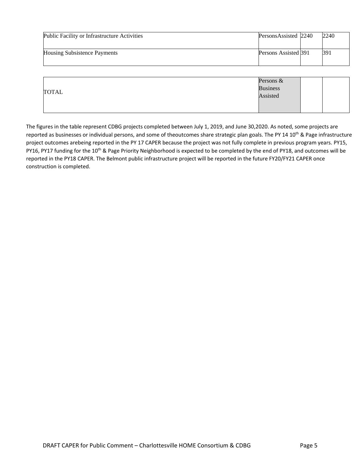| Public Facility or Infrastructure Activities | PersonsAssisted 2240 | 2240 |
|----------------------------------------------|----------------------|------|
| Housing Subsistence Payments                 | Persons Assisted 391 | 391  |

|              | Persons $&$     |
|--------------|-----------------|
|              | <b>Business</b> |
| <b>TOTAL</b> | Assisted        |
|              |                 |
|              |                 |

The figures in the table represent CDBG projects completed between July 1, 2019, and June 30,2020. As noted, some projects are reported as businesses or individual persons, and some of theoutcomes share strategic plan goals. The PY 14 10<sup>th</sup> & Page infrastructure project outcomes arebeing reported in the PY 17 CAPER because the project was not fully complete in previous program years. PY15, PY16, PY17 funding for the 10<sup>th</sup> & Page Priority Neighborhood is expected to be completed by the end of PY18, and outcomes will be reported in the PY18 CAPER. The Belmont public infrastructure project will be reported in the future FY20/FY21 CAPER once construction is completed.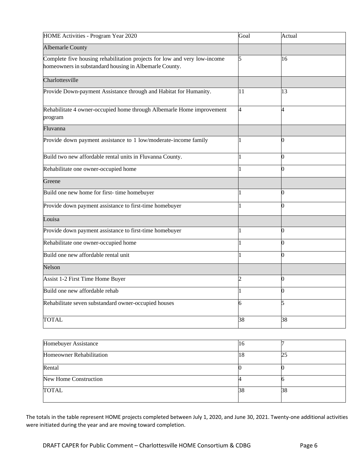| HOME Activities - Program Year 2020                                                                                                 | Goal | Actual |
|-------------------------------------------------------------------------------------------------------------------------------------|------|--------|
| <b>Albemarle County</b>                                                                                                             |      |        |
| Complete five housing rehabilitation projects for low and very low-income<br>homeowners in substandard housing in Albemarle County. | 5    | 16     |
| Charlottesville                                                                                                                     |      |        |
| Provide Down-payment Assistance through and Habitat for Humanity.                                                                   | 11   | 13     |
| Rehabilitate 4 owner-occupied home through Albemarle Home improvement<br>program                                                    | 4    | 4      |
| Fluvanna                                                                                                                            |      |        |
| Provide down payment assistance to 1 low/moderate-income family                                                                     |      |        |
| Build two new affordable rental units in Fluvanna County.                                                                           |      |        |
| Rehabilitate one owner-occupied home                                                                                                |      | 0      |
| Greene                                                                                                                              |      |        |
| Build one new home for first-time homebuyer                                                                                         |      | 0      |
| Provide down payment assistance to first-time homebuyer                                                                             |      | 0      |
| Louisa                                                                                                                              |      |        |
| Provide down payment assistance to first-time homebuyer                                                                             |      | 0      |
| Rehabilitate one owner-occupied home                                                                                                |      |        |
| Build one new affordable rental unit                                                                                                |      |        |
| Nelson                                                                                                                              |      |        |
| Assist 1-2 First Time Home Buyer                                                                                                    | 2    | 0      |
| Build one new affordable rehab                                                                                                      |      |        |
| Rehabilitate seven substandard owner-occupied houses                                                                                | 6    | 5      |
| <b>TOTAL</b>                                                                                                                        | 38   | 38     |

| Homebuyer Assistance     | 10 |    |
|--------------------------|----|----|
| Homeowner Rehabilitation |    | 25 |
| Rental                   |    |    |
| New Home Construction    |    |    |
| <b>TOTAL</b>             | 38 | 38 |

The totals in the table represent HOME projects completed between July 1, 2020, and June 30, 2021. Twenty-one additional activities were initiated during the year and are moving toward completion.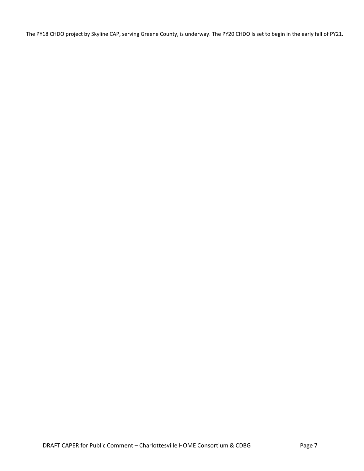The PY18 CHDO project by Skyline CAP, serving Greene County, is underway. The PY20 CHDO Is set to begin in the early fall of PY21.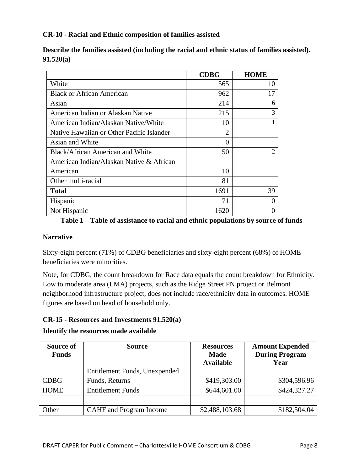#### **CR-10 - Racial and Ethnic composition of families assisted**

|                                           | <b>CDBG</b> | <b>HOME</b> |
|-------------------------------------------|-------------|-------------|
| White                                     | 565         | 10          |
| <b>Black or African American</b>          | 962         | 17          |
| Asian                                     | 214         | 6           |
| American Indian or Alaskan Native         | 215         | 3           |
| American Indian/Alaskan Native/White      | 10          |             |
| Native Hawaiian or Other Pacific Islander | 2           |             |
| Asian and White                           | 0           |             |
| <b>Black/African American and White</b>   | 50          |             |
| American Indian/Alaskan Native & African  |             |             |
| American                                  | 10          |             |
| Other multi-racial                        | 81          |             |
| <b>Total</b>                              | 1691        | 39          |
| Hispanic                                  | 71          |             |
| Not Hispanic                              | 1620        |             |

**Describe the families assisted (including the racial and ethnic status of families assisted). 91.520(a)**

#### **Table 1 – Table of assistance to racial and ethnic populations by source of funds**

#### **Narrative**

Sixty-eight percent (71%) of CDBG beneficiaries and sixty-eight percent (68%) of HOME beneficiaries were minorities.

Note, for CDBG, the count breakdown for Race data equals the count breakdown for Ethnicity. Low to moderate area (LMA) projects, such as the Ridge Street PN project or Belmont neighborhood infrastructure project, does not include race/ethnicity data in outcomes. HOME figures are based on head of household only.

#### **CR-15 - Resources and Investments 91.520(a)**

**Identify the resources made available**

| Source of<br><b>Funds</b> | <b>Source</b>                 | <b>Resources</b><br><b>Made</b><br><b>Available</b> | <b>Amount Expended</b><br><b>During Program</b><br>Year |
|---------------------------|-------------------------------|-----------------------------------------------------|---------------------------------------------------------|
|                           | Entitlement Funds, Unexpended |                                                     |                                                         |
| <b>CDBG</b>               | Funds, Returns                | \$419,303.00                                        | \$304,596.96                                            |
| <b>HOME</b>               | <b>Entitlement Funds</b>      | \$644,601.00                                        | \$424,327.27                                            |
|                           |                               |                                                     |                                                         |
| Other                     | CAHF and Program Income       | \$2,488,103.68                                      | \$182,504.04                                            |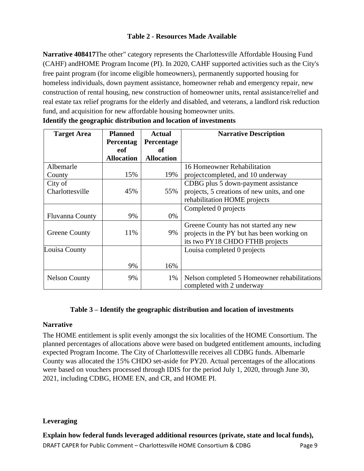### **Table 2 - Resources Made Available**

**Narrative 408417**The other" category represents the Charlottesville Affordable Housing Fund (CAHF) andHOME Program Income (PI). In 2020, CAHF supported activities such as the City's free paint program (for income eligible homeowners), permanently supported housing for homeless individuals, down payment assistance, homeowner rehab and emergency repair, new construction of rental housing, new construction of homeowner units, rental assistance/relief and real estate tax relief programs for the elderly and disabled, and veterans, a landlord risk reduction fund, and acquisition for new affordable housing homeowner units.

| <b>Target Area</b>     | <b>Planned</b><br>Percentag | <b>Actual</b><br>Percentage | <b>Narrative Description</b>                                              |
|------------------------|-----------------------------|-----------------------------|---------------------------------------------------------------------------|
|                        | eof                         | of                          |                                                                           |
|                        | <b>Allocation</b>           | <b>Allocation</b>           |                                                                           |
| Albemarle              |                             |                             | 16 Homeowner Rehabilitation                                               |
| County                 | 15%                         | 19%                         | projectcompleted, and 10 underway                                         |
| City of                |                             |                             | CDBG plus 5 down-payment assistance                                       |
| Charlottesville        | 45%                         | 55%                         | projects, 5 creations of new units, and one                               |
|                        |                             |                             | rehabilitation HOME projects                                              |
|                        |                             |                             | Completed 0 projects                                                      |
| <b>Fluvanna County</b> | 9%                          | 0%                          |                                                                           |
|                        |                             |                             | Greene County has not started any new                                     |
| Greene County          | 11%                         | 9%                          | projects in the PY but has been working on                                |
|                        |                             |                             | its two PY18 CHDO FTHB projects                                           |
| Louisa County          |                             |                             | Louisa completed 0 projects                                               |
|                        |                             |                             |                                                                           |
|                        | 9%                          | 16%                         |                                                                           |
| <b>Nelson County</b>   | 9%                          | 1%                          | Nelson completed 5 Homeowner rehabilitations<br>completed with 2 underway |

|  |  |  | Identify the geographic distribution and location of investments |
|--|--|--|------------------------------------------------------------------|
|  |  |  |                                                                  |

#### **Table 3 – Identify the geographic distribution and location of investments**

#### **Narrative**

The HOME entitlement is split evenly amongst the six localities of the HOME Consortium. The planned percentages of allocations above were based on budgeted entitlement amounts, including expected Program Income. The City of Charlottesville receives all CDBG funds. Albemarle County was allocated the 15% CHDO set-aside for PY20. Actual percentages of the allocations were based on vouchers processed through IDIS for the period July 1, 2020, through June 30, 2021, including CDBG, HOME EN, and CR, and HOME PI.

#### **Leveraging**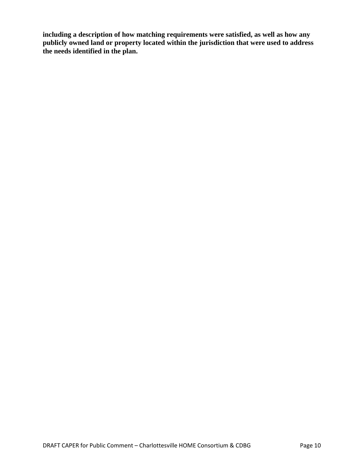**including a description of how matching requirements were satisfied, as well as how any publicly owned land or property located within the jurisdiction that were used to address the needs identified in the plan.**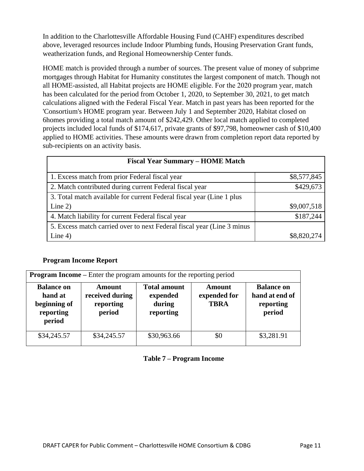In addition to the Charlottesville Affordable Housing Fund (CAHF) expenditures described above, leveraged resources include Indoor Plumbing funds, Housing Preservation Grant funds, weatherization funds, and Regional Homeownership Center funds.

HOME match is provided through a number of sources. The present value of money of subprime mortgages through Habitat for Humanity constitutes the largest component of match. Though not all HOME‐assisted, all Habitat projects are HOME eligible. For the 2020 program year, match has been calculated for the period from October 1, 2020, to September 30, 2021, to get match calculations aligned with the Federal Fiscal Year. Match in past years has been reported for the 'Consortium's HOME program year. Between July 1 and September 2020, Habitat closed on 6homes providing a total match amount of \$242,429. Other local match applied to completed projects included local funds of \$174,617, private grants of \$97,798, homeowner cash of \$10,400 applied to HOME activities. These amounts were drawn from completion report data reported by sub-recipients on an activity basis.

| <b>Fiscal Year Summary - HOME Match</b>                                 |             |
|-------------------------------------------------------------------------|-------------|
| 1. Excess match from prior Federal fiscal year                          | \$8,577,845 |
| 2. Match contributed during current Federal fiscal year                 | \$429,673   |
| 3. Total match available for current Federal fiscal year (Line 1 plus   |             |
| Line $2)$                                                               | \$9,007,518 |
| 4. Match liability for current Federal fiscal year                      | \$187,244   |
| 5. Excess match carried over to next Federal fiscal year (Line 3 minus) |             |
| Line $4)$                                                               | \$8,820,274 |

#### **Program Income Report**

| <b>Program Income</b> – Enter the program amounts for the reporting period |                                                         |                                                        |                                       |                                                            |  |  |  |  |
|----------------------------------------------------------------------------|---------------------------------------------------------|--------------------------------------------------------|---------------------------------------|------------------------------------------------------------|--|--|--|--|
| <b>Balance on</b><br>hand at<br>beginning of<br>reporting<br>period        | <b>Amount</b><br>received during<br>reporting<br>period | <b>Total amount</b><br>expended<br>during<br>reporting | Amount<br>expended for<br><b>TBRA</b> | <b>Balance on</b><br>hand at end of<br>reporting<br>period |  |  |  |  |
| \$34,245.57                                                                | \$34,245.57                                             | \$30,963.66                                            | \$0                                   | \$3,281.91                                                 |  |  |  |  |

#### **Table 7 – Program Income**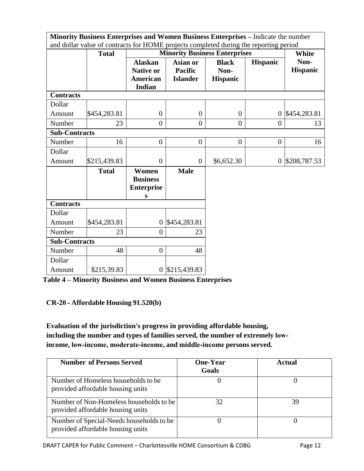|                      | Minority Business Enterprises and Women Business Enterprises - Indicate the number<br>and dollar value of contracts for HOME projects completed during the reporting period |                                                                        |                                               |                                         |                  |                         |
|----------------------|-----------------------------------------------------------------------------------------------------------------------------------------------------------------------------|------------------------------------------------------------------------|-----------------------------------------------|-----------------------------------------|------------------|-------------------------|
|                      | <b>Total</b>                                                                                                                                                                |                                                                        | <b>Minority Business Enterprises</b>          | White                                   |                  |                         |
|                      |                                                                                                                                                                             | <b>Alaskan</b><br><b>Native or</b><br><b>American</b><br><b>Indian</b> | Asian or<br><b>Pacific</b><br><b>Islander</b> | <b>Black</b><br>Non-<br><b>Hispanic</b> | <b>Hispanic</b>  | Non-<br><b>Hispanic</b> |
| <b>Contracts</b>     |                                                                                                                                                                             |                                                                        |                                               |                                         |                  |                         |
| Dollar               |                                                                                                                                                                             |                                                                        |                                               |                                         |                  |                         |
| Amount               | \$454,283.81                                                                                                                                                                | $\overline{0}$                                                         | $\overline{0}$                                | $\overline{0}$                          | $\boldsymbol{0}$ | \$454,283.81            |
| Number               | 23                                                                                                                                                                          | $\theta$                                                               | $\Omega$                                      | $\overline{0}$                          | $\theta$         | 13                      |
| <b>Sub-Contracts</b> |                                                                                                                                                                             |                                                                        |                                               |                                         |                  |                         |
| Number               | 16                                                                                                                                                                          | $\overline{0}$                                                         | $\overline{0}$                                | $\theta$                                | $\overline{0}$   | 16                      |
| Dollar               |                                                                                                                                                                             |                                                                        |                                               |                                         |                  |                         |
| Amount               | \$215,439.83                                                                                                                                                                | $\overline{0}$                                                         | $\Omega$                                      | \$6,652.30                              | $\boldsymbol{0}$ | \$208,787.53            |
|                      | <b>Total</b>                                                                                                                                                                | Women<br><b>Business</b><br><b>Enterprise</b><br>S                     | <b>Male</b>                                   |                                         |                  |                         |
| <b>Contracts</b>     |                                                                                                                                                                             |                                                                        |                                               |                                         |                  |                         |
| Dollar               |                                                                                                                                                                             |                                                                        |                                               |                                         |                  |                         |
| Amount               | \$454,283.81                                                                                                                                                                | $\overline{0}$                                                         | \$454,283.81                                  |                                         |                  |                         |
| Number               | 23                                                                                                                                                                          | $\overline{0}$                                                         | 23                                            |                                         |                  |                         |
| <b>Sub-Contracts</b> |                                                                                                                                                                             |                                                                        |                                               |                                         |                  |                         |
| Number               | 48                                                                                                                                                                          | $\overline{0}$                                                         | 48                                            |                                         |                  |                         |
| Dollar               |                                                                                                                                                                             |                                                                        |                                               |                                         |                  |                         |
| Amount               | \$215,39.83                                                                                                                                                                 |                                                                        | 0 \$215,439.83                                |                                         |                  |                         |

**Table 4 – Minority Business and Women Business Enterprises**

**CR‐20 ‐ Affordable Housing 91.520(b)**

**Evaluation of the jurisdiction's progress in providing affordable housing, including the number and types of families served, the number of extremely low‐ income, low‐income, moderate‐income, and middle‐income persons served.**

| <b>Number of Persons Served</b>                                               | <b>One-Year</b><br>Goals | Actual |
|-------------------------------------------------------------------------------|--------------------------|--------|
| Number of Homeless households to be<br>provided affordable housing units      |                          |        |
| Number of Non-Homeless households to be<br>provided affordable housing units  | 32                       | 39     |
| Number of Special-Needs households to be<br>provided affordable housing units |                          |        |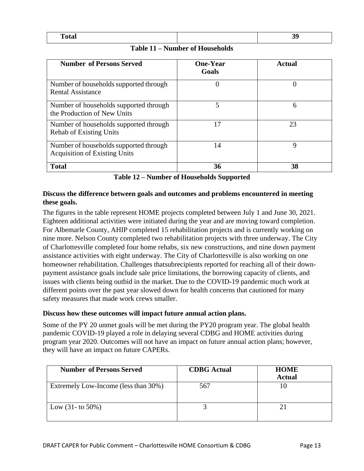| . |  |
|---|--|

|  |  |  |  | Table 11 – Number of Households |  |
|--|--|--|--|---------------------------------|--|
|--|--|--|--|---------------------------------|--|

| <b>Number of Persons Served</b>                                                | <b>One-Year</b><br>Goals | Actual |
|--------------------------------------------------------------------------------|--------------------------|--------|
| Number of households supported through<br><b>Rental Assistance</b>             | $\theta$                 |        |
| Number of households supported through<br>the Production of New Units          | 5                        | 6      |
| Number of households supported through<br><b>Rehab of Existing Units</b>       | 17                       | 23     |
| Number of households supported through<br><b>Acquisition of Existing Units</b> | 14                       | Q      |
| <b>Total</b>                                                                   | 36                       | 38     |

**Table 12 – Number of Households Supported**

#### **Discuss the difference between goals and outcomes and problems encountered in meeting these goals.**

The figures in the table represent HOME projects completed between July 1 and June 30, 2021. Eighteen additional activities were initiated during the year and are moving toward completion. For Albemarle County, AHIP completed 15 rehabilitation projects and is currently working on nine more. Nelson County completed two rehabilitation projects with three underway. The City of Charlottesville completed four home rehabs, six new constructions, and nine down payment assistance activities with eight underway. The City of Charlottesville is also working on one homeowner rehabilitation. Challenges thatsubrecipients reported for reaching all of their downpayment assistance goals include sale price limitations, the borrowing capacity of clients, and issues with clients being outbid in the market. Due to the COVID-19 pandemic much work at different points over the past year slowed down for health concerns that cautioned for many safety measures that made work crews smaller.

#### **Discuss how these outcomes will impact future annual action plans.**

Some of the PY 20 unmet goals will be met during the PY20 program year. The global health pandemic COVID-19 played a role in delaying several CDBG and HOME activities during program year 2020. Outcomes will not have an impact on future annual action plans; however, they will have an impact on future CAPERs.

| <b>Number of Persons Served</b>      | <b>CDBG</b> Actual | <b>HOME</b><br><b>Actual</b> |
|--------------------------------------|--------------------|------------------------------|
| Extremely Low-Income (less than 30%) | 567                |                              |
| Low $(31 -$ to 50%)                  |                    |                              |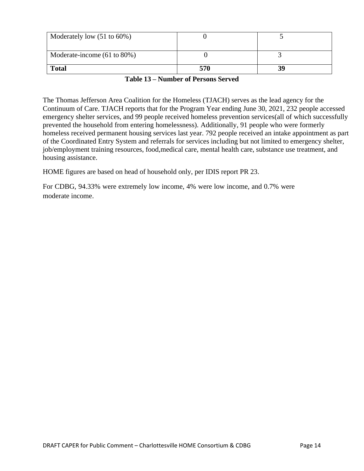| Moderately low $(51 \text{ to } 60\%)$  |     |    |
|-----------------------------------------|-----|----|
| Moderate-income $(61 \text{ to } 80\%)$ |     |    |
| <b>Total</b>                            | 570 | 39 |

#### **Table 13 – Number of Persons Served**

The Thomas Jefferson Area Coalition for the Homeless (TJACH) serves as the lead agency for the Continuum of Care. TJACH reports that for the Program Year ending June 30, 2021, 232 people accessed emergency shelter services, and 99 people received homeless prevention services(all of which successfully prevented the household from entering homelessness). Additionally, 91 people who were formerly homeless received permanent housing services last year. 792 people received an intake appointment as part of the Coordinated Entry System and referrals for services including but not limited to emergency shelter, job/employment training resources, food,medical care, mental health care, substance use treatment, and housing assistance.

HOME figures are based on head of household only, per IDIS report PR 23.

For CDBG, 94.33% were extremely low income, 4% were low income, and 0.7% were moderate income.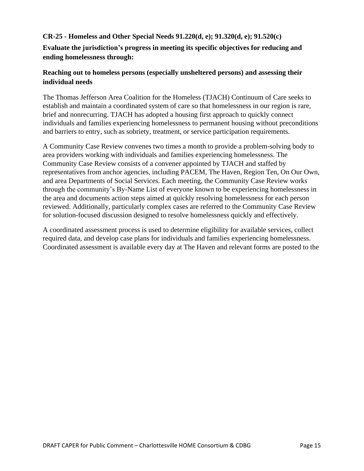### **CR-25 - Homeless and Other Special Needs 91.220(d, e); 91.320(d, e); 91.520(c)**

**Evaluate the jurisdiction's progress in meeting its specific objectives for reducing and ending homelessness through:**

# **Reaching out to homeless persons (especially unsheltered persons) and assessing their individual needs**

The Thomas Jefferson Area Coalition for the Homeless (TJACH) Continuum of Care seeks to establish and maintain a coordinated system of care so that homelessness in our region is rare, brief and nonrecurring. TJACH has adopted a housing first approach to quickly connect individuals and families experiencing homelessness to permanent housing without preconditions and barriers to entry, such as sobriety, treatment, or service participation requirements.

A Community Case Review convenes two times a month to provide a problem-solving body to area providers working with individuals and families experiencing homelessness. The Community Case Review consists of a convener appointed by TJACH and staffed by representatives from anchor agencies, including PACEM, The Haven, Region Ten, On Our Own, and area Departments of Social Services. Each meeting, the Community Case Review works through the community's By-Name List of everyone known to be experiencing homelessness in the area and documents action steps aimed at quickly resolving homelessness for each person reviewed. Additionally, particularly complex cases are referred to the Community Case Review for solution-focused discussion designed to resolve homelessness quickly and effectively.

A coordinated assessment process is used to determine eligibility for available services, collect required data, and develop case plans for individuals and families experiencing homelessness. Coordinated assessment is available every day at The Haven and relevant forms are posted to the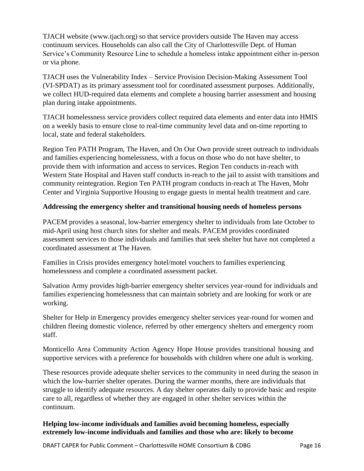TJACH website (www.tjach.org) so that service providers outside The Haven may access continuum services. Households can also call the City of Charlottesville Dept. of Human Service's Community Resource Line to schedule a homeless intake appointment either in-person or via phone.

TJACH uses the Vulnerability Index – Service Provision Decision-Making Assessment Tool (VI-SPDAT) as its primary assessment tool for coordinated assessment purposes. Additionally, we collect HUD-required data elements and complete a housing barrier assessment and housing plan during intake appointments.

TJACH homelessness service providers collect required data elements and enter data into HMIS on a weekly basis to ensure close to real-time community level data and on-time reporting to local, state and federal stakeholders.

Region Ten PATH Program, The Haven, and On Our Own provide street outreach to individuals and families experiencing homelessness, with a focus on those who do not have shelter, to provide them with information and access to services. Region Ten conducts in-reach with Western State Hospital and Haven staff conducts in-reach to the jail to assist with transitions and community reintegration. Region Ten PATH program conducts in-reach at The Haven, Mohr Center and Virginia Supportive Housing to engage guests in mental health treatment and care.

#### **Addressing the emergency shelter and transitional housing needs of homeless persons**

PACEM provides a seasonal, low-barrier emergency shelter to individuals from late October to mid-April using host church sites for shelter and meals. PACEM provides coordinated assessment services to those individuals and families that seek shelter but have not completed a coordinated assessment at The Haven.

Families in Crisis provides emergency hotel/motel vouchers to families experiencing homelessness and complete a coordinated assessment packet.

Salvation Army provides high-barrier emergency shelter services year-round for individuals and families experiencing homelessness that can maintain sobriety and are looking for work or are working.

Shelter for Help in Emergency provides emergency shelter services year-round for women and children fleeing domestic violence, referred by other emergency shelters and emergency room staff.

Monticello Area Community Action Agency Hope House provides transitional housing and supportive services with a preference for households with children where one adult is working.

These resources provide adequate shelter services to the community in need during the season in which the low-barrier shelter operates. During the warmer months, there are individuals that struggle to identify adequate resources. A day shelter operates daily to provide basic and respite care to all, regardless of whether they are engaged in other shelter services within the continuum.

#### **Helping low-income individuals and families avoid becoming homeless, especially extremely low-income individuals and families and those who are: likely to become**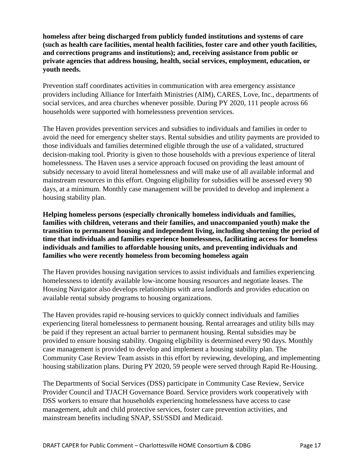**homeless after being discharged from publicly funded institutions and systems of care (such as health care facilities, mental health facilities, foster care and other youth facilities, and corrections programs and institutions); and, receiving assistance from public or private agencies that address housing, health, social services, employment, education, or youth needs.**

Prevention staff coordinates activities in communication with area emergency assistance providers including Alliance for Interfaith Ministries (AIM), CARES, Love, Inc., departments of social services, and area churches whenever possible. During PY 2020, 111 people across 66 households were supported with homelessness prevention services.

The Haven provides prevention services and subsidies to individuals and families in order to avoid the need for emergency shelter stays. Rental subsidies and utility payments are provided to those individuals and families determined eligible through the use of a validated, structured decision-making tool. Priority is given to those households with a previous experience of literal homelessness. The Haven uses a service approach focused on providing the least amount of subsidy necessary to avoid literal homelessness and will make use of all available informal and mainstream resources in this effort. Ongoing eligibility for subsidies will be assessed every 90 days, at a minimum. Monthly case management will be provided to develop and implement a housing stability plan.

**Helping homeless persons (especially chronically homeless individuals and families, families with children, veterans and their families, and unaccompanied youth) make the transition to permanent housing and independent living, including shortening the period of time that individuals and families experience homelessness, facilitating access for homeless individuals and families to affordable housing units, and preventing individuals and families who were recently homeless from becoming homeless again**

The Haven provides housing navigation services to assist individuals and families experiencing homelessness to identify available low-income housing resources and negotiate leases. The Housing Navigator also develops relationships with area landlords and provides education on available rental subsidy programs to housing organizations.

The Haven provides rapid re-housing services to quickly connect individuals and families experiencing literal homelessness to permanent housing. Rental arrearages and utility bills may be paid if they represent an actual barrier to permanent housing. Rental subsidies may be provided to ensure housing stability. Ongoing eligibility is determined every 90 days. Monthly case management is provided to develop and implement a housing stability plan. The Community Case Review Team assists in this effort by reviewing, developing, and implementing housing stabilization plans. During PY 2020, 59 people were served through Rapid Re-Housing.

The Departments of Social Services (DSS) participate in Community Case Review, Service Provider Council and TJACH Governance Board. Service providers work cooperatively with DSS workers to ensure that households experiencing homelessness have access to case management, adult and child protective services, foster care prevention activities, and mainstream benefits including SNAP, SSI/SSDI and Medicaid.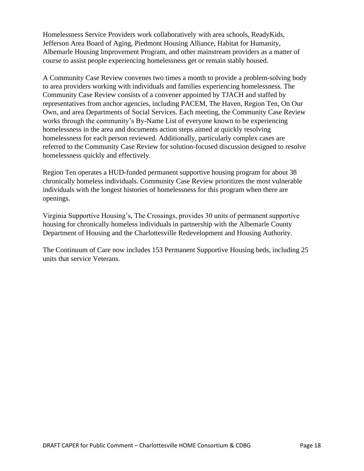Homelessness Service Providers work collaboratively with area schools, ReadyKids, Jefferson Area Board of Aging, Piedmont Housing Alliance, Habitat for Humanity, Albemarle Housing Improvement Program, and other mainstream providers as a matter of course to assist people experiencing homelessness get or remain stably housed.

A Community Case Review convenes two times a month to provide a problem-solving body to area providers working with individuals and families experiencing homelessness. The Community Case Review consists of a convener appointed by TJACH and staffed by representatives from anchor agencies, including PACEM, The Haven, Region Ten, On Our Own, and area Departments of Social Services. Each meeting, the Community Case Review works through the community's By-Name List of everyone known to be experiencing homelessness in the area and documents action steps aimed at quickly resolving homelessness for each person reviewed. Additionally, particularly complex cases are referred to the Community Case Review for solution-focused discussion designed to resolve homelessness quickly and effectively.

Region Ten operates a HUD-funded permanent supportive housing program for about 38 chronically homeless individuals. Community Case Review prioritizes the most vulnerable individuals with the longest histories of homelessness for this program when there are openings.

Virginia Supportive Housing's, The Crossings, provides 30 units of permanent supportive housing for chronically homeless individuals in partnership with the Albemarle County Department of Housing and the Charlottesville Redevelopment and Housing Authority.

The Continuum of Care now includes 153 Permanent Supportive Housing beds, including 25 units that service Veterans.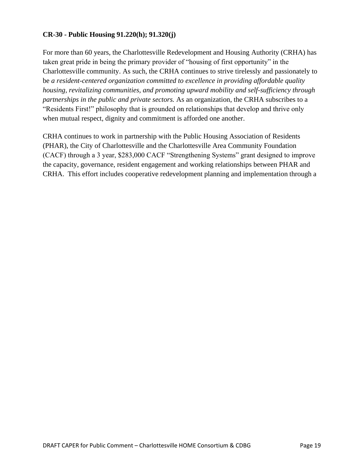#### **CR-30 - Public Housing 91.220(h); 91.320(j)**

For more than 60 years, the Charlottesville Redevelopment and Housing Authority (CRHA) has taken great pride in being the primary provider of "housing of first opportunity" in the Charlottesville community. As such, the CRHA continues to strive tirelessly and passionately to be *a resident-centered organization committed to excellence in providing affordable quality housing, revitalizing communities, and promoting upward mobility and self-sufficiency through partnerships in the public and private sectors.* As an organization, the CRHA subscribes to a "Residents First!" philosophy that is grounded on relationships that develop and thrive only when mutual respect, dignity and commitment is afforded one another.

CRHA continues to work in partnership with the Public Housing Association of Residents (PHAR), the City of Charlottesville and the Charlottesville Area Community Foundation (CACF) through a 3 year, \$283,000 CACF "Strengthening Systems" grant designed to improve the capacity, governance, resident engagement and working relationships between PHAR and CRHA. This effort includes cooperative redevelopment planning and implementation through a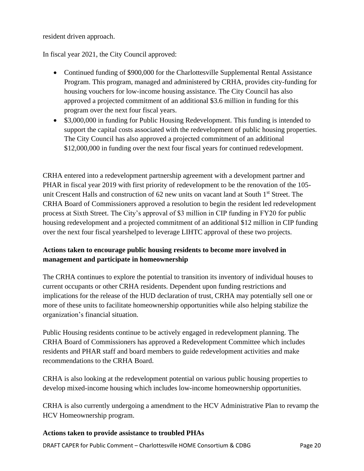resident driven approach.

In fiscal year 2021, the City Council approved:

- Continued funding of \$900,000 for the Charlottesville Supplemental Rental Assistance Program. This program, managed and administered by CRHA, provides city-funding for housing vouchers for low-income housing assistance. The City Council has also approved a projected commitment of an additional \$3.6 million in funding for this program over the next four fiscal years.
- \$3,000,000 in funding for Public Housing Redevelopment. This funding is intended to support the capital costs associated with the redevelopment of public housing properties. The City Council has also approved a projected commitment of an additional \$12,000,000 in funding over the next four fiscal years for continued redevelopment.

CRHA entered into a redevelopment partnership agreement with a development partner and PHAR in fiscal year 2019 with first priority of redevelopment to be the renovation of the 105 unit Crescent Halls and construction of 62 new units on vacant land at South 1<sup>st</sup> Street. The CRHA Board of Commissioners approved a resolution to begin the resident led redevelopment process at Sixth Street. The City's approval of \$3 million in CIP funding in FY20 for public housing redevelopment and a projected commitment of an additional \$12 million in CIP funding over the next four fiscal yearshelped to leverage LIHTC approval of these two projects.

# **Actions taken to encourage public housing residents to become more involved in management and participate in homeownership**

The CRHA continues to explore the potential to transition its inventory of individual houses to current occupants or other CRHA residents. Dependent upon funding restrictions and implications for the release of the HUD declaration of trust, CRHA may potentially sell one or more of these units to facilitate homeownership opportunities while also helping stabilize the organization's financial situation.

Public Housing residents continue to be actively engaged in redevelopment planning. The CRHA Board of Commissioners has approved a Redevelopment Committee which includes residents and PHAR staff and board members to guide redevelopment activities and make recommendations to the CRHA Board.

CRHA is also looking at the redevelopment potential on various public housing properties to develop mixed-income housing which includes low-income homeownership opportunities.

CRHA is also currently undergoing a amendment to the HCV Administrative Plan to revamp the HCV Homeownership program.

#### **Actions taken to provide assistance to troubled PHAs**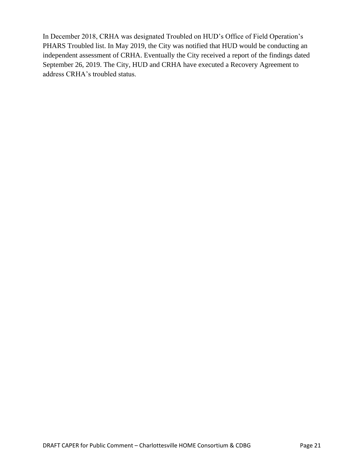In December 2018, CRHA was designated Troubled on HUD's Office of Field Operation's PHARS Troubled list. In May 2019, the City was notified that HUD would be conducting an independent assessment of CRHA. Eventually the City received a report of the findings dated September 26, 2019. The City, HUD and CRHA have executed a Recovery Agreement to address CRHA's troubled status.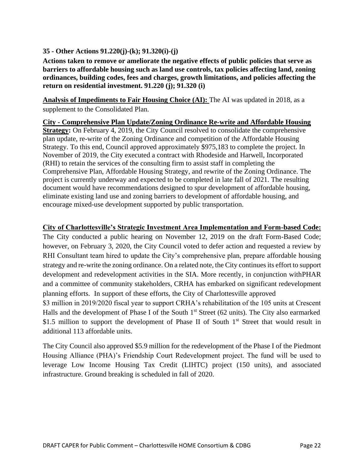#### **35 - Other Actions 91.220(j)-(k); 91.320(i)-(j)**

**Actions taken to remove or ameliorate the negative effects of public policies that serve as barriers to affordable housing such as land use controls, tax policies affecting land, zoning ordinances, building codes, fees and charges, growth limitations, and policies affecting the return on residential investment. 91.220 (j); 91.320 (i)**

**Analysis of Impediments to Fair Housing Choice (AI):** The AI was updated in 2018, as a supplement to the Consolidated Plan.

**City - Comprehensive Plan Update/Zoning Ordinance Re-write and Affordable Housing Strategy:** On February 4, 2019, the City Council resolved to consolidate the comprehensive plan update, re-write of the Zoning Ordinance and competition of the Affordable Housing Strategy. To this end, Council approved approximately \$975,183 to complete the project. In November of 2019, the City executed a contract with Rhodeside and Harwell, Incorporated (RHI) to retain the services of the consulting firm to assist staff in completing the Comprehensive Plan, Affordable Housing Strategy, and rewrite of the Zoning Ordinance. The project is currently underway and expected to be completed in late fall of 2021. The resulting document would have recommendations designed to spur development of affordable housing, eliminate existing land use and zoning barriers to development of affordable housing, and encourage mixed-use development supported by public transportation.

#### **City of Charlottesville's Strategic Investment Area Implementation and Form-based Code:**

The City conducted a public hearing on November 12, 2019 on the draft Form-Based Code; however, on February 3, 2020, the City Council voted to defer action and requested a review by RHI Consultant team hired to update the City's comprehensive plan, prepare affordable housing strategy and re-write the zoning ordinance. On a related note, the City continues its effort to support development and redevelopment activities in the SIA. More recently, in conjunction withPHAR and a committee of community stakeholders, CRHA has embarked on significant redevelopment planning efforts. In support of these efforts, the City of Charlottesville approved \$3 million in 2019/2020 fiscal year to support CRHA's rehabilitation of the 105 units at Crescent

Halls and the development of Phase I of the South 1<sup>st</sup> Street (62 units). The City also earmarked \$1.5 million to support the development of Phase II of South  $1<sup>st</sup>$  Street that would result in additional 113 affordable units.

The City Council also approved \$5.9 million for the redevelopment of the Phase I of the Piedmont Housing Alliance (PHA)'s Friendship Court Redevelopment project. The fund will be used to leverage Low Income Housing Tax Credit (LIHTC) project (150 units), and associated infrastructure. Ground breaking is scheduled in fall of 2020.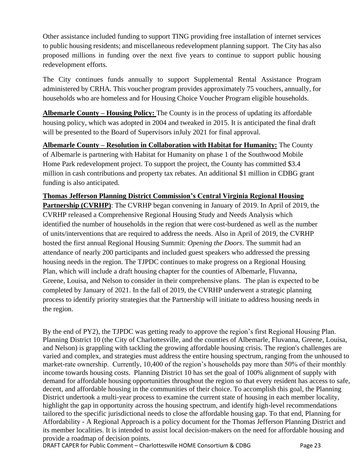Other assistance included funding to support TING providing free installation of internet services to public housing residents; and miscellaneous redevelopment planning support. The City has also proposed millions in funding over the next five years to continue to support public housing redevelopment efforts.

The City continues funds annually to support Supplemental Rental Assistance Program administered by CRHA. This voucher program provides approximately 75 vouchers, annually, for households who are homeless and for Housing Choice Voucher Program eligible households.

**Albemarle County – Housing Policy:** The County is in the process of updating its affordable housing policy, which was [adopted in 2004 and tweaked in 2015.](https://www.dailyprogress.com/news/local/partnership-seeks-ways-to-build-more-affordable-housing/article_e60e0776-e559-11e8-a4ee-c3f046d7dc78.html) It is anticipated the final draft will be presented to the Board of Supervisors inJuly 2021 for final approval.

**Albemarle County – Resolution in Collaboration with Habitat for Humanity:** The County of Albemarle is partnering with Habitat for Humanity on phase 1 of the Southwood Mobile Home Park redevelopment project. To support the project, the County has committed \$3.4 million in cash contributions and property tax rebates. An additional \$1 million in CDBG grant funding is also anticipated.

**Thomas Jefferson Planning District Commission's Central Virginia Regional Housing Partnership (CVRHP)**: The CVRHP began convening in January of 2019. In April of 2019, the CVRHP released a Comprehensive Regional Housing Study and Needs Analysis which identified the number of households in the region that were cost-burdened as well as the number of units/interventions that are required to address the needs. Also in April of 2019, the CVRHP hosted the first annual Regional Housing Summit: *Opening the Doors*. The summit had an attendance of nearly 200 participants and included guest speakers who addressed the pressing housing needs in the region. The TJPDC continues to make progress on a Regional Housing Plan, which will include a draft housing chapter for the counties of Albemarle, Fluvanna, Greene, Louisa, and Nelson to consider in their comprehensive plans. The plan is expected to be completed by January of 2021. In the fall of 2019, the CVRHP underwent a strategic planning process to identify priority strategies that the Partnership will initiate to address housing needs in the region.

By the end of PY2), the TJPDC was getting ready to approve the region's first Regional Housing Plan. Planning District 10 (the City of Charlottesville, and the counties of Albemarle, Fluvanna, Greene, Louisa, and Nelson) is grappling with tackling the growing affordable housing crisis. The region's challenges are varied and complex, and strategies must address the entire housing spectrum, ranging from the unhoused to market-rate ownership. Currently, 10,400 of the region's households pay more than 50% of their monthly income towards housing costs. Planning District 10 has set the goal of 100% alignment of supply with demand for affordable housing opportunities throughout the region so that every resident has access to safe, decent, and affordable housing in the communities of their choice. To accomplish this goal, the Planning District undertook a multi-year process to examine the current state of housing in each member locality, highlight the gap in opportunity across the housing spectrum, and identify high-level recommendations tailored to the specific jurisdictional needs to close the affordable housing gap. To that end, Planning for Affordability - A Regional Approach is a policy document for the Thomas Jefferson Planning District and its member localities. It is intended to assist local decision-makers on the need for affordable housing and provide a roadmap of decision points.

DRAFT CAPER for Public Comment – Charlottesville HOME Consortium & CDBG Page 23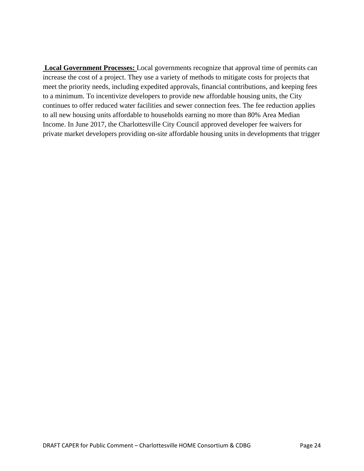**Local Government Processes:** Local governments recognize that approval time of permits can increase the cost of a project. They use a variety of methods to mitigate costs for projects that meet the priority needs, including expedited approvals, financial contributions, and keeping fees to a minimum. To incentivize developers to provide new affordable housing units, the City continues to offer reduced water facilities and sewer connection fees. The fee reduction applies to all new housing units affordable to households earning no more than 80% Area Median Income. In June 2017, the Charlottesville City Council approved developer fee waivers for private market developers providing on-site affordable housing units in developments that trigger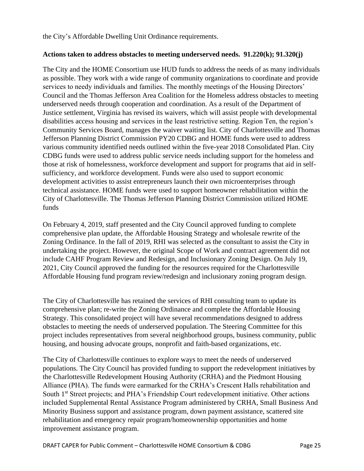the City's Affordable Dwelling Unit Ordinance requirements.

#### **Actions taken to address obstacles to meeting underserved needs. 91.220(k); 91.320(j)**

The City and the HOME Consortium use HUD funds to address the needs of as many individuals as possible. They work with a wide range of community organizations to coordinate and provide services to needy individuals and families. The monthly meetings of the Housing Directors' Council and the Thomas Jefferson Area Coalition for the Homeless address obstacles to meeting underserved needs through cooperation and coordination. As a result of the Department of Justice settlement, Virginia has revised its waivers, which will assist people with developmental disabilities access housing and services in the least restrictive setting. Region Ten, the region's Community Services Board, manages the waiver waiting list. City of Charlottesville and Thomas Jefferson Planning District Commission PY20 CDBG and HOME funds were used to address various community identified needs outlined within the five-year 2018 Consolidated Plan. City CDBG funds were used to address public service needs including support for the homeless and those at risk of homelessness, workforce development and support for programs that aid in selfsufficiency, and workforce development. Funds were also used to support economic development activities to assist entrepreneurs launch their own microenterprises through technical assistance. HOME funds were used to support homeowner rehabilitation within the City of Charlottesville. The Thomas Jefferson Planning District Commission utilized HOME funds

On February 4, 2019, staff presented and the City Council approved funding to complete comprehensive plan update, the Affordable Housing Strategy and wholesale rewrite of the Zoning Ordinance. In the fall of 2019, RHI was selected as the consultant to assist the City in undertaking the project. However, the original Scope of Work and contract agreement did not include CAHF Program Review and Redesign, and Inclusionary Zoning Design. On July 19, 2021, City Council approved the funding for the resources required for the Charlottesville Affordable Housing fund program review/redesign and inclusionary zoning program design.

The City of Charlottesville has retained the services of RHI consulting team to update its comprehensive plan; re-write the Zoning Ordinance and complete the Affordable Housing Strategy. This consolidated project will have several recommendations designed to address obstacles to meeting the needs of underserved population. The Steering Committee for this project includes representatives from several neighborhood groups, business community, public housing, and housing advocate groups, nonprofit and faith-based organizations, etc.

The City of Charlottesville continues to explore ways to meet the needs of underserved populations. The City Council has provided funding to support the redevelopment initiatives by the Charlottesville Redevelopment Housing Authority (CRHA) and the Piedmont Housing Alliance (PHA). The funds were earmarked for the CRHA's Crescent Halls rehabilitation and South 1<sup>st</sup> Street projects; and PHA's Friendship Court redevelopment initiative. Other actions included Supplemental Rental Assistance Program administered by CRHA, Small Business And Minority Business support and assistance program, down payment assistance, scattered site rehabilitation and emergency repair program/homeownership opportunities and home improvement assistance program.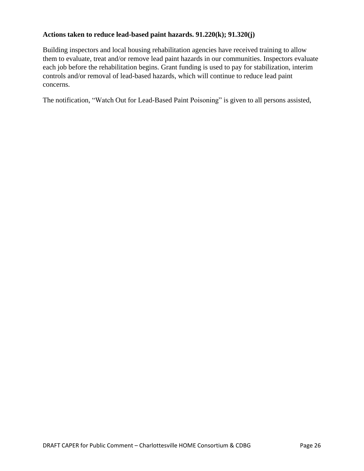#### **Actions taken to reduce lead-based paint hazards. 91.220(k); 91.320(j)**

Building inspectors and local housing rehabilitation agencies have received training to allow them to evaluate, treat and/or remove lead paint hazards in our communities. Inspectors evaluate each job before the rehabilitation begins. Grant funding is used to pay for stabilization, interim controls and/or removal of lead-based hazards, which will continue to reduce lead paint concerns.

The notification, "Watch Out for Lead-Based Paint Poisoning" is given to all persons assisted,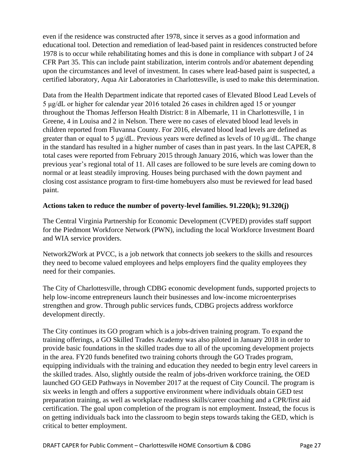even if the residence was constructed after 1978, since it serves as a good information and educational tool. Detection and remediation of lead-based paint in residences constructed before 1978 is to occur while rehabilitating homes and this is done in compliance with subpart J of 24 CFR Part 35. This can include paint stabilization, interim controls and/or abatement depending upon the circumstances and level of investment. In cases where lead-based paint is suspected, a certified laboratory, Aqua Air Laboratories in Charlottesville, is used to make this determination.

Data from the Health Department indicate that reported cases of Elevated Blood Lead Levels of 5 μg/dL or higher for calendar year 2016 totaled 26 cases in children aged 15 or younger throughout the Thomas Jefferson Health District: 8 in Albemarle, 11 in Charlottesville, 1 in Greene, 4 in Louisa and 2 in Nelson. There were no cases of elevated blood lead levels in children reported from Fluvanna County. For 2016, elevated blood lead levels are defined as greater than or equal to 5 μg/dL. Previous years were defined as levels of 10 μg/dL. The change in the standard has resulted in a higher number of cases than in past years. In the last CAPER, 8 total cases were reported from February 2015 through January 2016, which was lower than the previous year's regional total of 11. All cases are followed to be sure levels are coming down to normal or at least steadily improving. Houses being purchased with the down payment and closing cost assistance program to first-time homebuyers also must be reviewed for lead based paint.

#### **Actions taken to reduce the number of poverty-level families. 91.220(k); 91.320(j)**

The Central Virginia Partnership for Economic Development (CVPED) provides staff support for the Piedmont Workforce Network (PWN), including the local Workforce Investment Board and WIA service providers.

Network2Work at PVCC, is a job network that connects job seekers to the skills and resources they need to become valued employees and helps employers find the quality employees they need for their companies.

The City of Charlottesville, through CDBG economic development funds, supported projects to help low-income entrepreneurs launch their businesses and low-income microenterprises strengthen and grow. Through public services funds, CDBG projects address workforce development directly.

The City continues its GO program which is a jobs-driven training program. To expand the training offerings, a GO Skilled Trades Academy was also piloted in January 2018 in order to provide basic foundations in the skilled trades due to all of the upcoming development projects in the area. FY20 funds benefited two training cohorts through the GO Trades program, equipping individuals with the training and education they needed to begin entry level careers in the skilled trades. Also, slightly outside the realm of jobs-driven workforce training, the OED launched GO GED Pathways in November 2017 at the request of City Council. The program is six weeks in length and offers a supportive environment where individuals obtain GED test preparation training, as well as workplace readiness skills/career coaching and a CPR/first aid certification. The goal upon completion of the program is not employment. Instead, the focus is on getting individuals back into the classroom to begin steps towards taking the GED, which is critical to better employment.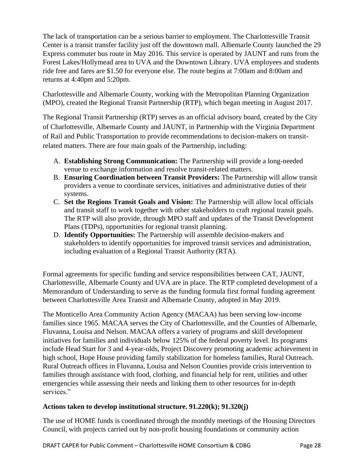The lack of transportation can be a serious barrier to employment. The Charlottesville Transit Center is a transit transfer facility just off the downtown mall. Albemarle County launched the 29 Express commuter bus route in May 2016. This service is operated by JAUNT and runs from the Forest Lakes/Hollymead area to UVA and the Downtown Library. UVA employees and students ride free and fares are \$1.50 for everyone else. The route begins at 7:00am and 8:00am and returns at 4:40pm and 5:20pm.

Charlottesville and Albemarle County, working with the Metropolitan Planning Organization (MPO), created the Regional Transit Partnership (RTP), which began meeting in August 2017.

The Regional Transit Partnership (RTP) serves as an official advisory board, created by the City of Charlottesville, Albemarle County and JAUNT, in Partnership with the Virginia Department of Rail and Public Transportation to provide recommendations to decision-makers on transitrelated matters. There are four main goals of the Partnership, including:

- A. **Establishing Strong Communication:** The Partnership will provide a long-needed venue to exchange information and resolve transit-related matters.
- B. **Ensuring Coordination between Transit Providers:** The Partnership will allow transit providers a venue to coordinate services, initiatives and administrative duties of their systems.
- C. **Set the Regions Transit Goals and Vision:** The Partnership will allow local officials and transit staff to work together with other stakeholders to craft regional transit goals. The RTP will also provide, through MPO staff and updates of the Transit Development Plans (TDPs), opportunities for regional transit planning.
- D. **Identify Opportunities:** The Partnership will assemble decision-makers and stakeholders to identify opportunities for improved transit services and administration, including evaluation of a Regional Transit Authority (RTA).

Formal agreements for specific funding and service responsibilities between CAT, JAUNT, Charlottesville, Albemarle County and UVA are in place. The RTP completed development of a Memorandum of Understanding to serve as the funding formula first formal funding agreement between Charlottesville Area Transit and Albemarle County, adopted in May 2019.

The Monticello Area Community Action Agency (MACAA) has been serving low-income families since 1965. MACAA serves the City of Charlottesville, and the Counties of Albemarle, Fluvanna, Louisa and Nelson. MACAA offers a variety of programs and skill development initiatives for families and individuals below 125% of the federal poverty level. Its programs include Head Start for 3 and 4-year-olds, Project Discovery promoting academic achievement in high school, Hope House providing family stabilization for homeless families, Rural Outreach. Rural Outreach offices in Fluvanna, Louisa and Nelson Counties provide crisis intervention to families through assistance with food, clothing, and financial help for rent, utilities and other emergencies while assessing their needs and linking them to other resources for in-depth services."

#### **Actions taken to develop institutional structure. 91.220(k); 91.320(j)**

The use of HOME funds is coordinated through the monthly meetings of the Housing Directors Council, with projects carried out by non-profit housing foundations or community action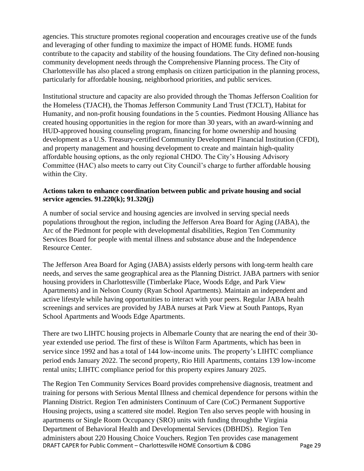agencies. This structure promotes regional cooperation and encourages creative use of the funds and leveraging of other funding to maximize the impact of HOME funds. HOME funds contribute to the capacity and stability of the housing foundations. The City defined non-housing community development needs through the Comprehensive Planning process. The City of Charlottesville has also placed a strong emphasis on citizen participation in the planning process, particularly for affordable housing, neighborhood priorities, and public services.

Institutional structure and capacity are also provided through the Thomas Jefferson Coalition for the Homeless (TJACH), the Thomas Jefferson Community Land Trust (TJCLT), Habitat for Humanity, and non-profit housing foundations in the 5 counties. Piedmont Housing Alliance has created housing opportunities in the region for more than 30 years, with an award-winning and HUD-approved housing counseling program, financing for home ownership and housing development as a U.S. Treasury-certified Community Development Financial Institution (CFDI), and property management and housing development to create and maintain high-quality affordable housing options, as the only regional CHDO. The City's Housing Advisory Committee (HAC) also meets to carry out City Council's charge to further affordable housing within the City.

#### **Actions taken to enhance coordination between public and private housing and social service agencies. 91.220(k); 91.320(j)**

A number of social service and housing agencies are involved in serving special needs populations throughout the region, including the Jefferson Area Board for Aging (JABA), the Arc of the Piedmont for people with developmental disabilities, Region Ten Community Services Board for people with mental illness and substance abuse and the Independence Resource Center.

The Jefferson Area Board for Aging (JABA) assists elderly persons with long-term health care needs, and serves the same geographical area as the Planning District. JABA partners with senior housing providers in Charlottesville (Timberlake Place, Woods Edge, and Park View Apartments) and in Nelson County (Ryan School Apartments). Maintain an independent and active lifestyle while having opportunities to interact with your peers. Regular JABA health screenings and services are provided by JABA nurses at Park View at South Pantops, Ryan School Apartments and Woods Edge Apartments.

There are two LIHTC housing projects in Albemarle County that are nearing the end of their 30 year extended use period. The first of these is Wilton Farm Apartments, which has been in service since 1992 and has a total of 144 low-income units. The property's LIHTC compliance period ends January 2022. The second property, Rio Hill Apartments, contains 139 low-income rental units; LIHTC compliance period for this property expires January 2025.

DRAFT CAPER for Public Comment – Charlottesville HOME Consortium & CDBG Page 29 The Region Ten Community Services Board provides comprehensive diagnosis, treatment and training for persons with Serious Mental Illness and chemical dependence for persons within the Planning District. Region Ten administers Continuum of Care (CoC) Permanent Supportive Housing projects, using a scattered site model. Region Ten also serves people with housing in apartments or Single Room Occupancy (SRO) units with funding throughthe Virginia Department of Behavioral Health and Developmental Services (DBHDS). Region Ten administers about 220 Housing Choice Vouchers. Region Ten provides case management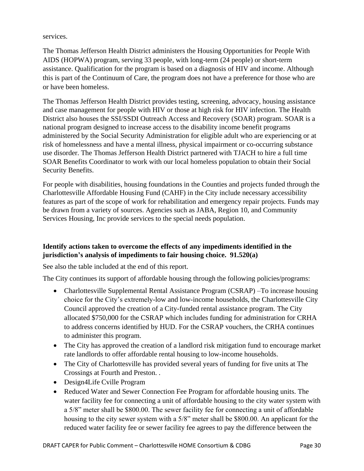services.

The Thomas Jefferson Health District administers the Housing Opportunities for People With AIDS (HOPWA) program, serving 33 people, with long-term (24 people) or short-term assistance. Qualification for the program is based on a diagnosis of HIV and income. Although this is part of the Continuum of Care, the program does not have a preference for those who are or have been homeless.

The Thomas Jefferson Health District provides testing, screening, advocacy, housing assistance and case management for people with HIV or those at high risk for HIV infection. The Health District also houses the SSI/SSDI Outreach Access and Recovery (SOAR) program. SOAR is a national program designed to increase access to the disability income benefit programs administered by the Social Security Administration for eligible adult who are experiencing or at risk of homelessness and have a mental illness, physical impairment or co-occurring substance use disorder. The Thomas Jefferson Health District partnered with TJACH to hire a full time SOAR Benefits Coordinator to work with our local homeless population to obtain their Social Security Benefits.

For people with disabilities, housing foundations in the Counties and projects funded through the Charlottesville Affordable Housing Fund (CAHF) in the City include necessary accessibility features as part of the scope of work for rehabilitation and emergency repair projects. Funds may be drawn from a variety of sources. Agencies such as JABA, Region 10, and Community Services Housing, Inc provide services to the special needs population.

# **Identify actions taken to overcome the effects of any impediments identified in the jurisdiction's analysis of impediments to fair housing choice. 91.520(a)**

See also the table included at the end of this report.

The City continues its support of affordable housing through the following policies/programs:

- Charlottesville Supplemental Rental Assistance Program (CSRAP) –To increase housing choice for the City's extremely-low and low-income households, the Charlottesville City Council approved the creation of a City-funded rental assistance program. The City allocated \$750,000 for the CSRAP which includes funding for administration for CRHA to address concerns identified by HUD. For the CSRAP vouchers, the CRHA continues to administer this program.
- The City has approved the creation of a landlord risk mitigation fund to encourage market rate landlords to offer affordable rental housing to low-income households.
- The City of Charlottesville has provided several years of funding for five units at The Crossings at Fourth and Preston. .
- Design4Life Cville Program
- Reduced Water and Sewer Connection Fee Program for affordable housing units. The water facility fee for connecting a unit of affordable housing to the city water system with a 5/8" meter shall be \$800.00. The sewer facility fee for connecting a unit of affordable housing to the city sewer system with a 5/8" meter shall be \$800.00. An applicant for the reduced water facility fee or sewer facility fee agrees to pay the difference between the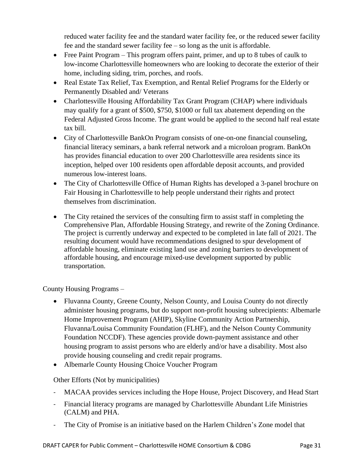reduced water facility fee and the standard water facility fee, or the reduced sewer facility fee and the standard sewer facility fee – so long as the unit is affordable.

- Free Paint Program This program offers paint, primer, and up to 8 tubes of caulk to low-income Charlottesville homeowners who are looking to decorate the exterior of their home, including siding, trim, porches, and roofs.
- Real Estate Tax Relief, Tax Exemption, and Rental Relief Programs for the Elderly or Permanently Disabled and/ Veterans
- Charlottesville Housing Affordability Tax Grant Program (CHAP) where individuals may qualify for a grant of \$500, \$750, \$1000 or full tax abatement depending on the Federal Adjusted Gross Income. The grant would be applied to the second half real estate tax bill.
- City of Charlottesville BankOn Program consists of one-on-one financial counseling, financial literacy seminars, a bank referral network and a microloan program. BankOn has provides financial education to over 200 Charlottesville area residents since its inception, helped over 100 residents open affordable deposit accounts, and provided numerous low-interest loans.
- The City of Charlottesville Office of Human Rights has developed a 3-panel brochure on Fair Housing in Charlottesville to help people understand their rights and protect themselves from discrimination.
- The City retained the services of the consulting firm to assist staff in completing the Comprehensive Plan, Affordable Housing Strategy, and rewrite of the Zoning Ordinance. The project is currently underway and expected to be completed in late fall of 2021. The resulting document would have recommendations designed to spur development of affordable housing, eliminate existing land use and zoning barriers to development of affordable housing, and encourage mixed-use development supported by public transportation.

County Housing Programs –

- Fluvanna County, Greene County, Nelson County, and Louisa County do not directly administer housing programs, but do support non-profit housing subrecipients: Albemarle Home Improvement Program (AHIP), Skyline Community Action Partnership, Fluvanna/Louisa Community Foundation (FLHF), and the Nelson County Community Foundation NCCDF). These agencies provide down-payment assistance and other housing program to assist persons who are elderly and/or have a disability. Most also provide housing counseling and credit repair programs.
- Albemarle County Housing Choice Voucher Program

Other Efforts (Not by municipalities)

- MACAA provides services including the Hope House, Project Discovery, and Head Start
- Financial literacy programs are managed by Charlottesville Abundant Life Ministries (CALM) and PHA.
- The City of Promise is an initiative based on the Harlem Children's Zone model that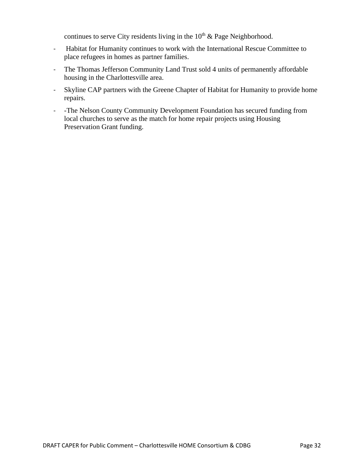continues to serve City residents living in the  $10<sup>th</sup>$  & Page Neighborhood.

- Habitat for Humanity continues to work with the International Rescue Committee to place refugees in homes as partner families.
- The Thomas Jefferson Community Land Trust sold 4 units of permanently affordable housing in the Charlottesville area.
- Skyline CAP partners with the Greene Chapter of Habitat for Humanity to provide home repairs.
- -The Nelson County Community Development Foundation has secured funding from local churches to serve as the match for home repair projects using Housing Preservation Grant funding.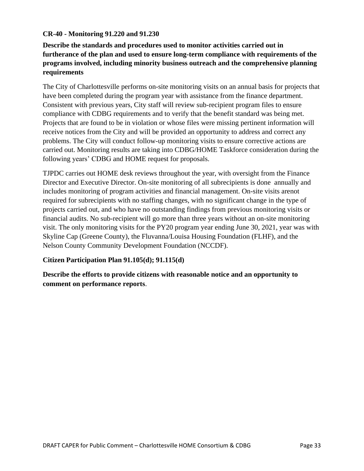#### **CR-40 - Monitoring 91.220 and 91.230**

**Describe the standards and procedures used to monitor activities carried out in furtherance of the plan and used to ensure long-term compliance with requirements of the programs involved, including minority business outreach and the comprehensive planning requirements**

The City of Charlottesville performs on-site monitoring visits on an annual basis for projects that have been completed during the program year with assistance from the finance department. Consistent with previous years, City staff will review sub-recipient program files to ensure compliance with CDBG requirements and to verify that the benefit standard was being met. Projects that are found to be in violation or whose files were missing pertinent information will receive notices from the City and will be provided an opportunity to address and correct any problems. The City will conduct follow-up monitoring visits to ensure corrective actions are carried out. Monitoring results are taking into CDBG/HOME Taskforce consideration during the following years' CDBG and HOME request for proposals.

TJPDC carries out HOME desk reviews throughout the year, with oversight from the Finance Director and Executive Director. On-site monitoring of all subrecipients is done annually and includes monitoring of program activities and financial management. On-site visits arenot required for subrecipients with no staffing changes, with no significant change in the type of projects carried out, and who have no outstanding findings from previous monitoring visits or financial audits. No sub-recipient will go more than three years without an on-site monitoring visit. The only monitoring visits for the PY20 program year ending June 30, 2021, year was with Skyline Cap (Greene County), the Fluvanna/Louisa Housing Foundation (FLHF), and the Nelson County Community Development Foundation (NCCDF).

#### **Citizen Participation Plan 91.105(d); 91.115(d)**

**Describe the efforts to provide citizens with reasonable notice and an opportunity to comment on performance reports**.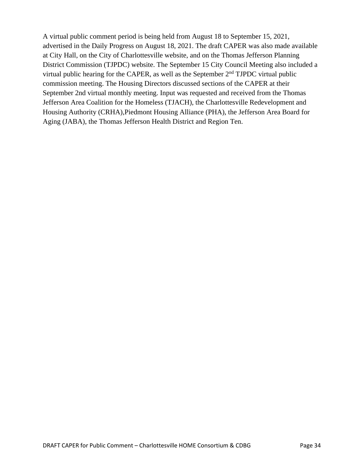A virtual public comment period is being held from August 18 to September 15, 2021, advertised in the Daily Progress on August 18, 2021. The draft CAPER was also made available at City Hall, on the City of Charlottesville website, and on the Thomas Jefferson Planning District Commission (TJPDC) website. The September 15 City Council Meeting also included a virtual public hearing for the CAPER, as well as the September 2nd TJPDC virtual public commission meeting. The Housing Directors discussed sections of the CAPER at their September 2nd virtual monthly meeting. Input was requested and received from the Thomas Jefferson Area Coalition for the Homeless (TJACH), the Charlottesville Redevelopment and Housing Authority (CRHA),Piedmont Housing Alliance (PHA), the Jefferson Area Board for Aging (JABA), the Thomas Jefferson Health District and Region Ten.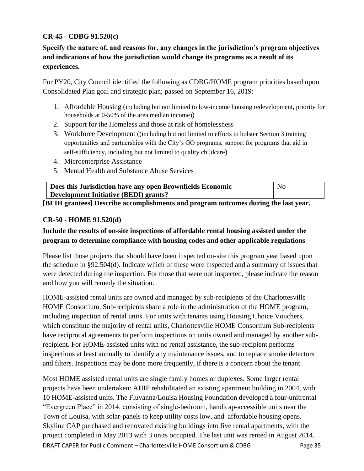# **CR-45 - CDBG 91.520(c)**

**Specify the nature of, and reasons for, any changes in the jurisdiction's program objectives and indications of how the jurisdiction would change its programs as a result of its experiences.**

For PY20, City Council identified the following as CDBG/HOME program priorities based upon Consolidated Plan goal and strategic plan; passed on September 16, 2019:

- 1. Affordable Housing (including but not limited to low-income housing redevelopment, priority for households at 0-50% of the area median income))
- 2. Support for the Homeless and those at risk of homelessness
- 3. Workforce Development ((including but not limited to efforts to bolster Section 3 training opportunities and partnerships with the City's GO programs, support for programs that aid in self-sufficiency, including but not limited to quality childcare)
- 4. Microenterprise Assistance
- 5. Mental Health and Substance Abuse Services

| Does this Jurisdiction have any open Brownfields Economic | N <sub>0</sub> |
|-----------------------------------------------------------|----------------|
| Development Initiative (BEDI) grants?                     |                |

**[BEDI grantees] Describe accomplishments and program outcomes during the last year.**

#### **CR-50 - HOME 91.520(d)**

# **Include the results of on-site inspections of affordable rental housing assisted under the program to determine compliance with housing codes and other applicable regulations**

Please list those projects that should have been inspected on-site this program year based upon the schedule in §92.504(d). Indicate which of these were inspected and a summary of issues that were detected during the inspection. For those that were not inspected, please indicate the reason and how you will remedy the situation.

HOME-assisted rental units are owned and managed by sub-recipients of the Charlottesville HOME Consortium. Sub-recipients share a role in the administration of the HOME program, including inspection of rental units. For units with tenants using Housing Choice Vouchers, which constitute the majority of rental units, Charlottesville HOME Consortium Sub-recipients have reciprocal agreements to perform inspections on units owned and managed by another subrecipient. For HOME-assisted units with no rental assistance, the sub-recipient performs inspections at least annually to identify any maintenance issues, and to replace smoke detectors and filters. Inspections may be done more frequently, if there is a concern about the tenant.

DRAFT CAPER for Public Comment – Charlottesville HOME Consortium & CDBG Page 35 Most HOME assisted rental units are single family homes or duplexes. Some larger rental projects have been undertaken: AHIP rehabilitated an existing apartment building in 2004, with 10 HOME-assisted units. The Fluvanna/Louisa Housing Foundation developed a four-unitrental "Evergreen Place" in 2014, consisting of single-bedroom, handicap-accessible units near the Town of Louisa, with solar-panels to keep utility costs low, and affordable housing opens. Skyline CAP purchased and renovated existing buildings into five rental apartments, with the project completed in May 2013 with 3 units occupied. The last unit was rented in August 2014.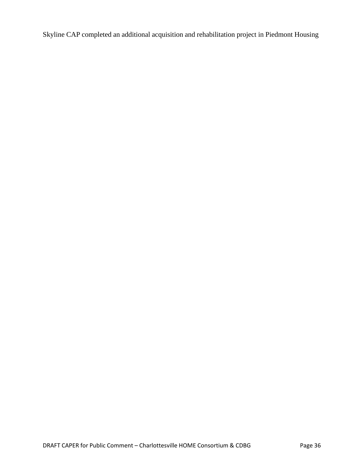Skyline CAP completed an additional acquisition and rehabilitation project in Piedmont Housing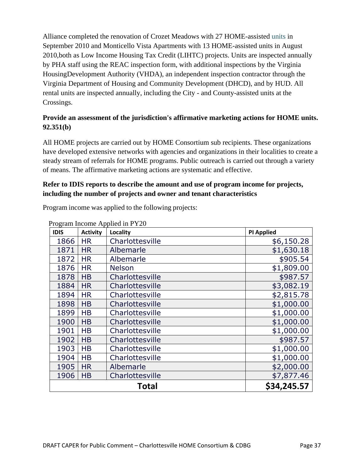Alliance completed the renovation of Crozet Meadows with 27 HOME-assisted units in September 2010 and Monticello Vista Apartments with 13 HOME-assisted units in August 2010,both as Low Income Housing Tax Credit (LIHTC) projects. Units are inspected annually by PHA staff using the REAC inspection form, with additional inspections by the Virginia HousingDevelopment Authority (VHDA), an independent inspection contractor through the Virginia Department of Housing and Community Development (DHCD), and by HUD. All rental units are inspected annually, including the City - and County-assisted units at the Crossings.

# **Provide an assessment of the jurisdiction's affirmative marketing actions for HOME units. 92.351(b)**

All HOME projects are carried out by HOME Consortium sub recipients. These organizations have developed extensive networks with agencies and organizations in their localities to create a steady stream of referrals for HOME programs. Public outreach is carried out through a variety of means. The affirmative marketing actions are systematic and effective.

# **Refer to IDIS reports to describe the amount and use of program income for projects, including the number of projects and owner and tenant characteristics**

|             | Program Income Applied in PY20 |                 |                   |  |
|-------------|--------------------------------|-----------------|-------------------|--|
| <b>IDIS</b> | <b>Activity</b>                | Locality        | <b>PI Applied</b> |  |
| 1866        | <b>HR</b>                      | Charlottesville | \$6,150.28        |  |
| 1871        | <b>HR</b>                      | Albemarle       | \$1,630.18        |  |
| 1872        | <b>HR</b>                      | Albemarle       | \$905.54          |  |
| 1876        | <b>HR</b>                      | <b>Nelson</b>   | \$1,809.00        |  |
| 1878        | <b>HB</b>                      | Charlottesville | \$987.57          |  |
| 1884        | <b>HR</b>                      | Charlottesville | \$3,082.19        |  |
| 1894        | <b>HR</b>                      | Charlottesville | \$2,815.78        |  |
| 1898        | HB                             | Charlottesville | \$1,000.00        |  |
| 1899        | <b>HB</b>                      | Charlottesville | \$1,000.00        |  |
| 1900        | <b>HB</b>                      | Charlottesville | \$1,000.00        |  |
| 1901        | <b>HB</b>                      | Charlottesville | \$1,000.00        |  |
| 1902        | <b>HB</b>                      | Charlottesville | \$987.57          |  |
| 1903        | <b>HB</b>                      | Charlottesville | \$1,000.00        |  |
| 1904        | <b>HB</b>                      | Charlottesville | \$1,000.00        |  |
| 1905        | <b>HR</b>                      | Albemarle       | \$2,000.00        |  |
| 1906        | <b>HB</b>                      | Charlottesville | \$7,877.46        |  |
|             | \$34,245.57<br><b>Total</b>    |                 |                   |  |

Program income was applied to the following projects: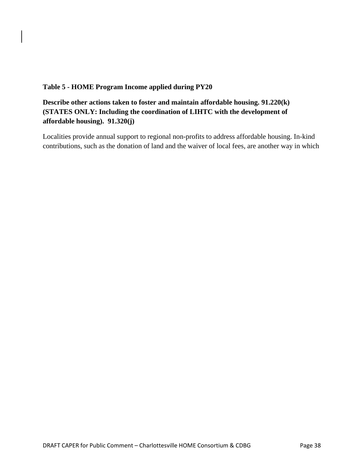#### **Table 5 - HOME Program Income applied during PY20**

# **Describe other actions taken to foster and maintain affordable housing. 91.220(k) (STATES ONLY: Including the coordination of LIHTC with the development of affordable housing). 91.320(j)**

Localities provide annual support to regional non-profits to address affordable housing. In-kind contributions, such as the donation of land and the waiver of local fees, are another way in which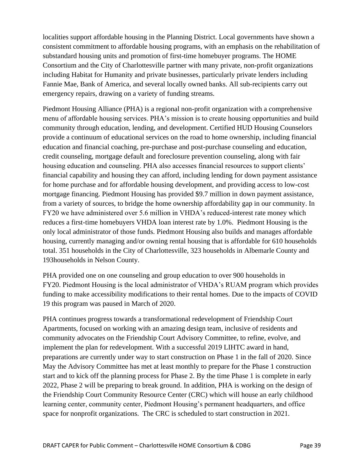localities support affordable housing in the Planning District. Local governments have shown a consistent commitment to affordable housing programs, with an emphasis on the rehabilitation of substandard housing units and promotion of first-time homebuyer programs. The HOME Consortium and the City of Charlottesville partner with many private, non-profit organizations including Habitat for Humanity and private businesses, particularly private lenders including Fannie Mae, Bank of America, and several locally owned banks. All sub-recipients carry out emergency repairs, drawing on a variety of funding streams.

Piedmont Housing Alliance (PHA) is a regional non-profit organization with a comprehensive menu of affordable housing services. PHA's mission is to create housing opportunities and build community through education, lending, and development. Certified HUD Housing Counselors provide a continuum of educational services on the road to home ownership, including financial education and financial coaching, pre-purchase and post-purchase counseling and education, credit counseling, mortgage default and foreclosure prevention counseling, along with fair housing education and counseling. PHA also accesses financial resources to support clients' financial capability and housing they can afford, including lending for down payment assistance for home purchase and for affordable housing development, and providing access to low-cost mortgage financing. Piedmont Housing has provided \$9.7 million in down payment assistance, from a variety of sources, to bridge the home ownership affordability gap in our community. In FY20 we have administered over 5.6 million in VHDA's reduced-interest rate money which reduces a first-time homebuyers VHDA loan interest rate by 1.0%. Piedmont Housing is the only local administrator of those funds. Piedmont Housing also builds and manages affordable housing, currently managing and/or owning rental housing that is affordable for 610 households total. 351 households in the City of Charlottesville, 323 households in Albemarle County and 193households in Nelson County.

PHA provided one on one counseling and group education to over 900 households in FY20. Piedmont Housing is the local administrator of VHDA's RUAM program which provides funding to make accessibility modifications to their rental homes. Due to the impacts of COVID 19 this program was paused in March of 2020.

PHA continues progress towards a transformational redevelopment of Friendship Court Apartments, focused on working with an amazing design team, inclusive of residents and community advocates on the Friendship Court Advisory Committee, to refine, evolve, and implement the plan for redevelopment. With a successful 2019 LIHTC award in hand, preparations are currently under way to start construction on Phase 1 in the fall of 2020. Since May the Advisory Committee has met at least monthly to prepare for the Phase 1 construction start and to kick off the planning process for Phase 2. By the time Phase 1 is complete in early 2022, Phase 2 will be preparing to break ground. In addition, PHA is working on the design of the Friendship Court Community Resource Center (CRC) which will house an early childhood learning center, community center, Piedmont Housing's permanent headquarters, and office space for nonprofit organizations. The CRC is scheduled to start construction in 2021.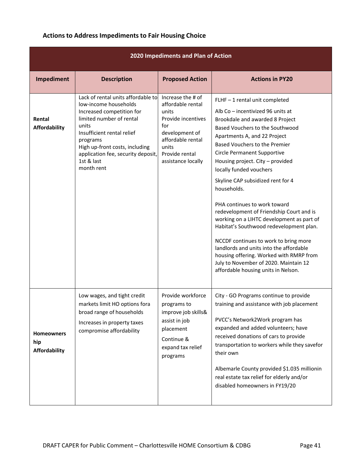# **Actions to Address Impediments to Fair Housing Choice**

| 2020 Impediments and Plan of Action              |                                                                                                                                                                                                                                                                             |                                                                                                                                                                      |                                                                                                                                                                                                                                                                                                                                                                                                                                                                                                                                                                                                                                                                                                                                               |  |
|--------------------------------------------------|-----------------------------------------------------------------------------------------------------------------------------------------------------------------------------------------------------------------------------------------------------------------------------|----------------------------------------------------------------------------------------------------------------------------------------------------------------------|-----------------------------------------------------------------------------------------------------------------------------------------------------------------------------------------------------------------------------------------------------------------------------------------------------------------------------------------------------------------------------------------------------------------------------------------------------------------------------------------------------------------------------------------------------------------------------------------------------------------------------------------------------------------------------------------------------------------------------------------------|--|
| Impediment                                       | <b>Description</b>                                                                                                                                                                                                                                                          | <b>Proposed Action</b>                                                                                                                                               | <b>Actions in PY20</b>                                                                                                                                                                                                                                                                                                                                                                                                                                                                                                                                                                                                                                                                                                                        |  |
| Rental<br><b>Affordability</b>                   | Lack of rental units affordable to<br>low-income households<br>Increased competition for<br>limited number of rental<br>units<br>Insufficient rental relief<br>programs<br>High up-front costs, including<br>application fee, security deposit,<br>1st & last<br>month rent | Increase the # of<br>affordable rental<br>units<br>Provide incentives<br>for<br>development of<br>affordable rental<br>units<br>Provide rental<br>assistance locally | FLHF-1 rental unit completed<br>Alb Co - incentivized 96 units at<br>Brookdale and awarded 8 Project<br>Based Vouchers to the Southwood<br>Apartments A, and 22 Project<br>Based Vouchers to the Premier<br>Circle Permanent Supportive<br>Housing project. City - provided<br>locally funded vouchers<br>Skyline CAP subsidized rent for 4<br>households.<br>PHA continues to work toward<br>redevelopment of Friendship Court and is<br>working on a LIHTC development as part of<br>Habitat's Southwood redevelopment plan.<br>NCCDF continues to work to bring more<br>landlords and units into the affordable<br>housing offering. Worked with RMRP from<br>July to November of 2020. Maintain 12<br>affordable housing units in Nelson. |  |
| <b>Homeowners</b><br>hip<br><b>Affordability</b> | Low wages, and tight credit<br>markets limit HO options fora<br>broad range of households<br>Increases in property taxes<br>compromise affordability                                                                                                                        | Provide workforce<br>programs to<br>improve job skills&<br>assist in job<br>placement<br>Continue &<br>expand tax relief<br>programs                                 | City - GO Programs continue to provide<br>training and assistance with job placement<br>PVCC's Network2Work program has<br>expanded and added volunteers; have<br>received donations of cars to provide<br>transportation to workers while they savefor<br>their own<br>Albemarle County provided \$1.035 millionin<br>real estate tax relief for elderly and/or<br>disabled homeowners in FY19/20                                                                                                                                                                                                                                                                                                                                            |  |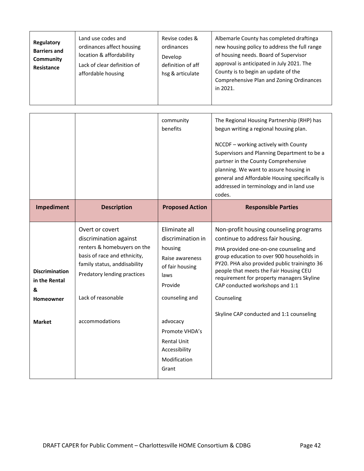| Regulatory<br><b>Barriers and</b><br>Community<br>Resistance | Land use codes and<br>ordinances affect housing<br>location & affordability<br>Lack of clear definition of<br>affordable housing | Revise codes &<br>ordinances<br>Develop<br>definition of aff<br>hsg & articulate | Albemarle County has completed draftinga<br>new housing policy to address the full range<br>of housing needs. Board of Supervisor<br>approval is anticipated in July 2021. The<br>County is to begin an update of the<br>Comprehensive Plan and Zoning Ordinances<br>in 2021. |
|--------------------------------------------------------------|----------------------------------------------------------------------------------------------------------------------------------|----------------------------------------------------------------------------------|-------------------------------------------------------------------------------------------------------------------------------------------------------------------------------------------------------------------------------------------------------------------------------|
|--------------------------------------------------------------|----------------------------------------------------------------------------------------------------------------------------------|----------------------------------------------------------------------------------|-------------------------------------------------------------------------------------------------------------------------------------------------------------------------------------------------------------------------------------------------------------------------------|

|                                                                                  |                                                                                                                                                                                                                 | community<br>benefits                                                                                                                                                                                                  | The Regional Housing Partnership (RHP) has<br>begun writing a regional housing plan.<br>NCCDF - working actively with County<br>Supervisors and Planning Department to be a<br>partner in the County Comprehensive<br>planning. We want to assure housing in<br>general and Affordable Housing specifically is<br>addressed in terminology and in land use<br>codes.                                   |
|----------------------------------------------------------------------------------|-----------------------------------------------------------------------------------------------------------------------------------------------------------------------------------------------------------------|------------------------------------------------------------------------------------------------------------------------------------------------------------------------------------------------------------------------|--------------------------------------------------------------------------------------------------------------------------------------------------------------------------------------------------------------------------------------------------------------------------------------------------------------------------------------------------------------------------------------------------------|
| Impediment                                                                       | <b>Description</b>                                                                                                                                                                                              | <b>Proposed Action</b>                                                                                                                                                                                                 | <b>Responsible Parties</b>                                                                                                                                                                                                                                                                                                                                                                             |
| <b>Discrimination</b><br>in the Rental<br>&<br><b>Homeowner</b><br><b>Market</b> | Overt or covert<br>discrimination against<br>renters & homebuyers on the<br>basis of race and ethnicity,<br>family status, anddisability<br>Predatory lending practices<br>Lack of reasonable<br>accommodations | Eliminate all<br>discrimination in<br>housing<br>Raise awareness<br>of fair housing<br>laws<br>Provide<br>counseling and<br>advocacy<br>Promote VHDA's<br><b>Rental Unit</b><br>Accessibility<br>Modification<br>Grant | Non-profit housing counseling programs<br>continue to address fair housing.<br>PHA provided one-on-one counseling and<br>group education to over 900 households in<br>PY20. PHA also provided public trainingto 36<br>people that meets the Fair Housing CEU<br>requirement for property managers Skyline<br>CAP conducted workshops and 1:1<br>Counseling<br>Skyline CAP conducted and 1:1 counseling |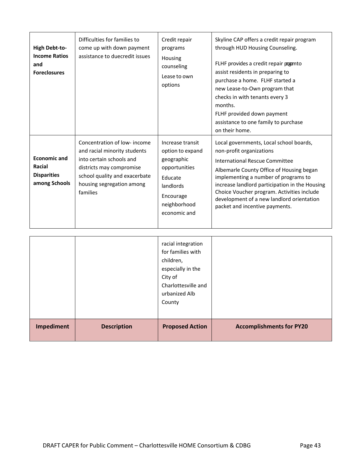| <b>High Debt-to-</b><br><b>Income Ratios</b><br>and<br><b>Foreclosures</b> | Difficulties for families to<br>come up with down payment<br>assistance to duecredit issues                                                                                                   | Credit repair<br>programs<br>Housing<br>counseling<br>Lease to own<br>options                                                            | Skyline CAP offers a credit repair program<br>through HUD Housing Counseling.<br>FLHF provides a credit repair pogmto<br>assist residents in preparing to<br>purchase a home. FLHF started a<br>new Lease-to-Own program that<br>checks in with tenants every 3<br>months.<br>FLHF provided down payment<br>assistance to one family to purchase<br>on their home.              |
|----------------------------------------------------------------------------|-----------------------------------------------------------------------------------------------------------------------------------------------------------------------------------------------|------------------------------------------------------------------------------------------------------------------------------------------|---------------------------------------------------------------------------------------------------------------------------------------------------------------------------------------------------------------------------------------------------------------------------------------------------------------------------------------------------------------------------------|
| <b>Economic and</b><br>Racial<br><b>Disparities</b><br>among Schools       | Concentration of low-income<br>and racial minority students<br>into certain schools and<br>districts may compromise<br>school quality and exacerbate<br>housing segregation among<br>families | Increase transit<br>option to expand<br>geographic<br>opportunities<br>Educate<br>landlords<br>Encourage<br>neighborhood<br>economic and | Local governments, Local school boards,<br>non-profit organizations<br><b>International Rescue Committee</b><br>Albemarle County Office of Housing began<br>implementing a number of programs to<br>increase landlord participation in the Housing<br>Choice Voucher program. Activities include<br>development of a new landlord orientation<br>packet and incentive payments. |

|            |                    | racial integration<br>for families with<br>children,<br>especially in the<br>City of<br>Charlottesville and<br>urbanized Alb<br>County |                                 |
|------------|--------------------|----------------------------------------------------------------------------------------------------------------------------------------|---------------------------------|
| Impediment | <b>Description</b> | <b>Proposed Action</b>                                                                                                                 | <b>Accomplishments for PY20</b> |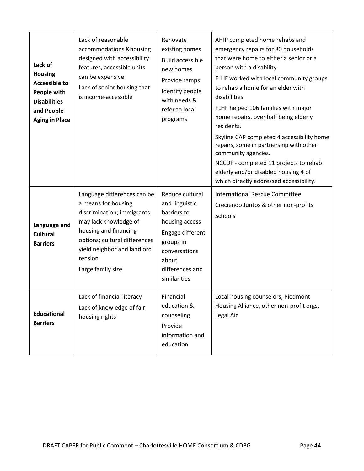| Lack of<br><b>Housing</b><br><b>Accessible to</b><br>People with<br><b>Disabilities</b><br>and People<br><b>Aging in Place</b> | Lack of reasonable<br>accommodations & housing<br>designed with accessibility<br>features, accessible units<br>can be expensive<br>Lack of senior housing that<br>is income-accessible                                             | Renovate<br>existing homes<br><b>Build accessible</b><br>new homes<br>Provide ramps<br>Identify people<br>with needs &<br>refer to local<br>programs             | AHIP completed home rehabs and<br>emergency repairs for 80 households<br>that were home to either a senior or a<br>person with a disability<br>FLHF worked with local community groups<br>to rehab a home for an elder with<br>disabilities<br>FLHF helped 106 families with major<br>home repairs, over half being elderly<br>residents.<br>Skyline CAP completed 4 accessibility home<br>repairs, some in partnership with other<br>community agencies.<br>NCCDF - completed 11 projects to rehab<br>elderly and/or disabled housing 4 of<br>which directly addressed accessibility. |
|--------------------------------------------------------------------------------------------------------------------------------|------------------------------------------------------------------------------------------------------------------------------------------------------------------------------------------------------------------------------------|------------------------------------------------------------------------------------------------------------------------------------------------------------------|----------------------------------------------------------------------------------------------------------------------------------------------------------------------------------------------------------------------------------------------------------------------------------------------------------------------------------------------------------------------------------------------------------------------------------------------------------------------------------------------------------------------------------------------------------------------------------------|
| Language and<br><b>Cultural</b><br><b>Barriers</b>                                                                             | Language differences can be<br>a means for housing<br>discrimination; immigrants<br>may lack knowledge of<br>housing and financing<br>options; cultural differences<br>yield neighbor and landlord<br>tension<br>Large family size | Reduce cultural<br>and linguistic<br>barriers to<br>housing access<br>Engage different<br>groups in<br>conversations<br>about<br>differences and<br>similarities | <b>International Rescue Committee</b><br>Creciendo Juntos & other non-profits<br>Schools                                                                                                                                                                                                                                                                                                                                                                                                                                                                                               |
| <b>Educational</b><br><b>Barriers</b>                                                                                          | Lack of financial literacy<br>Lack of knowledge of fair<br>housing rights                                                                                                                                                          | Financial<br>education &<br>counseling<br>Provide<br>information and<br>education                                                                                | Local housing counselors, Piedmont<br>Housing Alliance, other non-profit orgs,<br>Legal Aid                                                                                                                                                                                                                                                                                                                                                                                                                                                                                            |